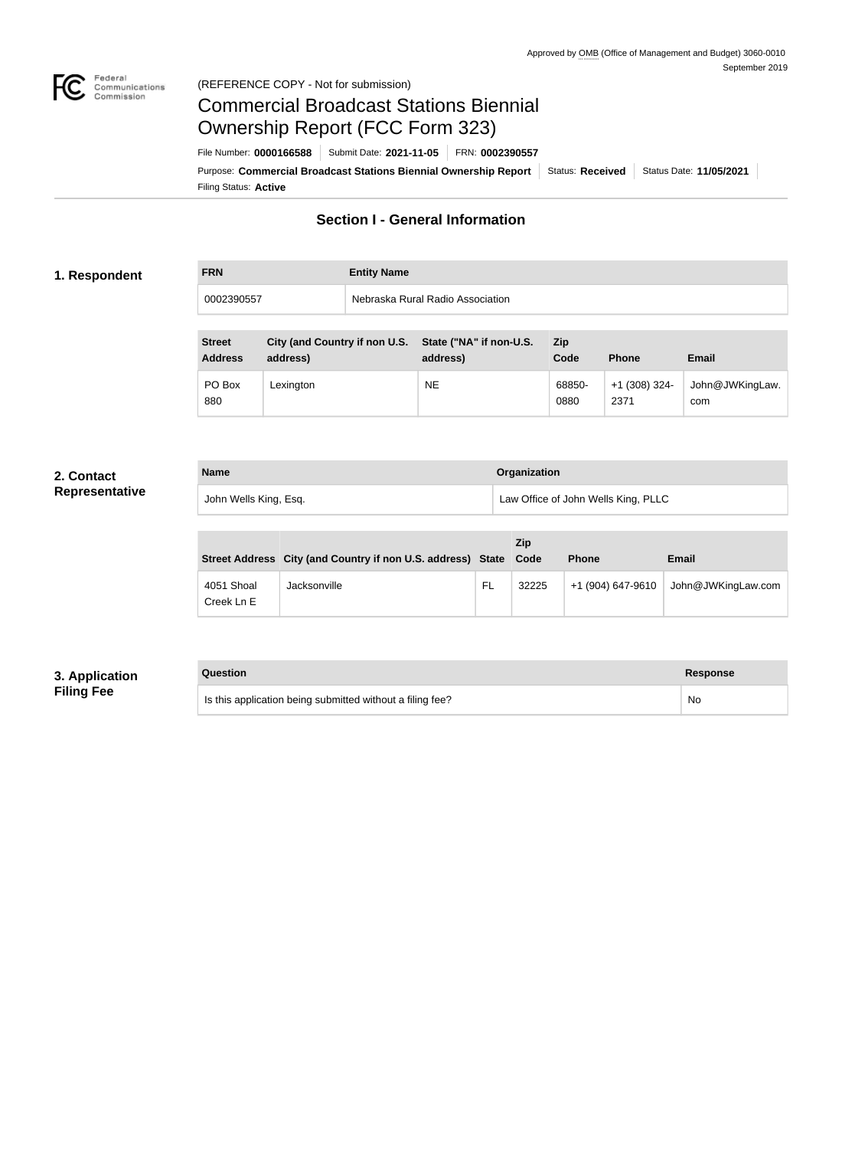

#### Federal<br>Communications<br>Commission (REFERENCE COPY - Not for submission)

# Commercial Broadcast Stations Biennial Ownership Report (FCC Form 323)

Filing Status: **Active** Purpose: Commercial Broadcast Stations Biennial Ownership Report Status: Received Status Date: 11/05/2021 File Number: **0000166588** Submit Date: **2021-11-05** FRN: **0002390557**

# **Section I - General Information**

#### **1. Respondent**

| <b>FRN</b> | <b>Entity Name</b>               |
|------------|----------------------------------|
| 0002390557 | Nebraska Rural Radio Association |

| <b>Street</b><br><b>Address</b> | City (and Country if non U.S. State ("NA" if non-U.S.<br>address) | address)  | <b>Zip</b><br>Code | <b>Phone</b>            | Email                  |
|---------------------------------|-------------------------------------------------------------------|-----------|--------------------|-------------------------|------------------------|
| PO Box<br>880                   | Lexington                                                         | <b>NE</b> | 68850-<br>0880     | $+1$ (308) 324-<br>2371 | John@JWKingLaw.<br>com |

# **2. Contact**

| <b>Name</b>           | Organization                        |
|-----------------------|-------------------------------------|
| John Wells King, Esq. | Law Office of John Wells King, PLLC |

|                          | Street Address City (and Country if non U.S. address) State Code |    | Zip   | <b>Phone</b>      | <b>Email</b>       |  |  |
|--------------------------|------------------------------------------------------------------|----|-------|-------------------|--------------------|--|--|
| 4051 Shoal<br>Creek Ln E | Jacksonville                                                     | FL | 32225 | +1 (904) 647-9610 | John@JWKingLaw.com |  |  |

#### **3. Application Filing Fee**

| Question                                                  | Response |
|-----------------------------------------------------------|----------|
| Is this application being submitted without a filing fee? | No       |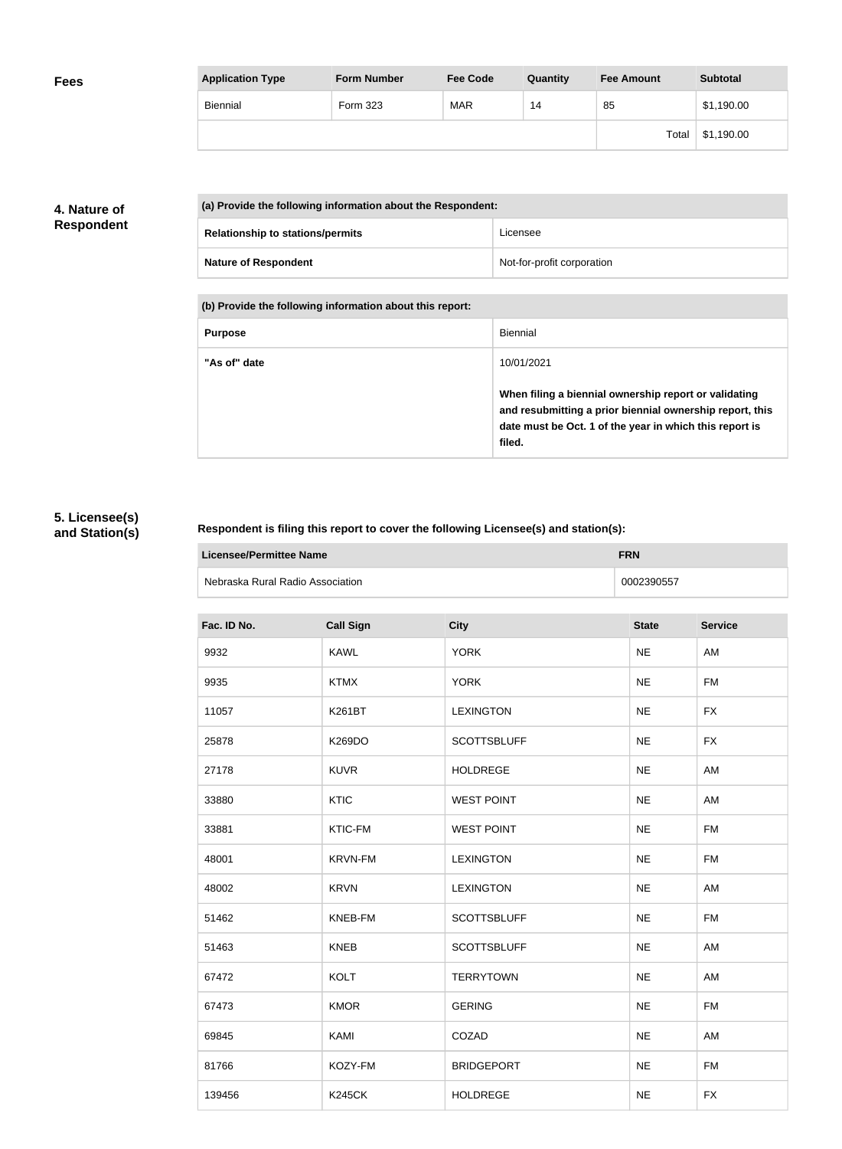| <b>Application Type</b> | <b>Form Number</b> | <b>Fee Code</b> | Quantity | <b>Fee Amount</b> | <b>Subtotal</b> |
|-------------------------|--------------------|-----------------|----------|-------------------|-----------------|
| Biennial                | Form 323           | <b>MAR</b>      | 14       | 85                | \$1,190.00      |
|                         |                    |                 |          | Total             | \$1,190.00      |

## **4. Nature of Respondent**

|  | (a) Provide the following information about the Respondent: |                            |  |  |
|--|-------------------------------------------------------------|----------------------------|--|--|
|  | <b>Relationship to stations/permits</b>                     | Licensee                   |  |  |
|  | <b>Nature of Respondent</b>                                 | Not-for-profit corporation |  |  |

**(b) Provide the following information about this report:**

| <b>Purpose</b> | Biennial                                                                                                                                                                               |
|----------------|----------------------------------------------------------------------------------------------------------------------------------------------------------------------------------------|
| "As of" date   | 10/01/2021                                                                                                                                                                             |
|                | When filing a biennial ownership report or validating<br>and resubmitting a prior biennial ownership report, this<br>date must be Oct. 1 of the year in which this report is<br>filed. |

# **5. Licensee(s) and Station(s)**

r

### **Respondent is filing this report to cover the following Licensee(s) and station(s):**

| <b>Licensee/Permittee Name</b>   | <b>FRN</b> |
|----------------------------------|------------|
| Nebraska Rural Radio Association | 0002390557 |

| Fac. ID No. | <b>Call Sign</b> | <b>City</b>        | <b>State</b> | <b>Service</b> |
|-------------|------------------|--------------------|--------------|----------------|
| 9932        | <b>KAWL</b>      | <b>YORK</b>        | NE           | AM             |
| 9935        | <b>KTMX</b>      | <b>YORK</b>        | <b>NE</b>    | <b>FM</b>      |
| 11057       | K261BT           | <b>LEXINGTON</b>   | <b>NE</b>    | <b>FX</b>      |
| 25878       | K269DO           | <b>SCOTTSBLUFF</b> | <b>NE</b>    | <b>FX</b>      |
| 27178       | <b>KUVR</b>      | <b>HOLDREGE</b>    | <b>NE</b>    | AM             |
| 33880       | <b>KTIC</b>      | <b>WEST POINT</b>  | <b>NE</b>    | AM             |
| 33881       | KTIC-FM          | <b>WEST POINT</b>  | <b>NE</b>    | <b>FM</b>      |
| 48001       | <b>KRVN-FM</b>   | <b>LEXINGTON</b>   | <b>NE</b>    | <b>FM</b>      |
| 48002       | <b>KRVN</b>      | <b>LEXINGTON</b>   | <b>NE</b>    | AM             |
| 51462       | KNEB-FM          | <b>SCOTTSBLUFF</b> | <b>NE</b>    | <b>FM</b>      |
| 51463       | <b>KNEB</b>      | <b>SCOTTSBLUFF</b> | <b>NE</b>    | AM             |
| 67472       | <b>KOLT</b>      | <b>TERRYTOWN</b>   | <b>NE</b>    | AM             |
| 67473       | <b>KMOR</b>      | <b>GERING</b>      | <b>NE</b>    | <b>FM</b>      |
| 69845       | KAMI             | COZAD              | <b>NE</b>    | AM             |
| 81766       | KOZY-FM          | <b>BRIDGEPORT</b>  | <b>NE</b>    | <b>FM</b>      |
| 139456      | <b>K245CK</b>    | <b>HOLDREGE</b>    | <b>NE</b>    | <b>FX</b>      |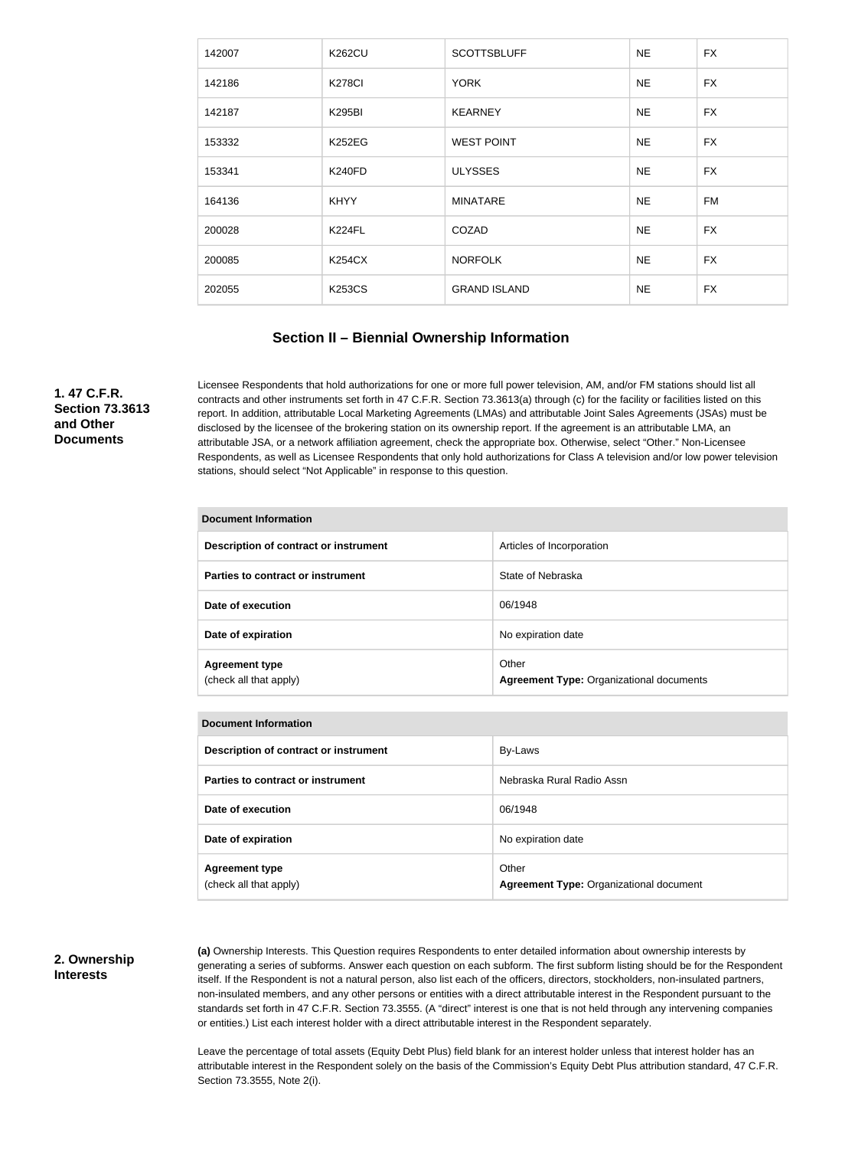| 142007 | <b>K262CU</b> | <b>SCOTTSBLUFF</b>  | <b>NE</b> | <b>FX</b> |
|--------|---------------|---------------------|-----------|-----------|
| 142186 | <b>K278CI</b> | <b>YORK</b>         | <b>NE</b> | <b>FX</b> |
| 142187 | <b>K295BI</b> | <b>KEARNEY</b>      | <b>NE</b> | <b>FX</b> |
| 153332 | <b>K252EG</b> | <b>WEST POINT</b>   | <b>NE</b> | <b>FX</b> |
| 153341 | <b>K240FD</b> | <b>ULYSSES</b>      | <b>NE</b> | <b>FX</b> |
| 164136 | <b>KHYY</b>   | <b>MINATARE</b>     | <b>NE</b> | FM        |
| 200028 | <b>K224FL</b> | COZAD               | <b>NE</b> | <b>FX</b> |
| 200085 | <b>K254CX</b> | <b>NORFOLK</b>      | <b>NE</b> | <b>FX</b> |
| 202055 | <b>K253CS</b> | <b>GRAND ISLAND</b> | <b>NE</b> | <b>FX</b> |

#### **Section II – Biennial Ownership Information**

**1. 47 C.F.R. Section 73.3613 and Other Documents**

Licensee Respondents that hold authorizations for one or more full power television, AM, and/or FM stations should list all contracts and other instruments set forth in 47 C.F.R. Section 73.3613(a) through (c) for the facility or facilities listed on this report. In addition, attributable Local Marketing Agreements (LMAs) and attributable Joint Sales Agreements (JSAs) must be disclosed by the licensee of the brokering station on its ownership report. If the agreement is an attributable LMA, an attributable JSA, or a network affiliation agreement, check the appropriate box. Otherwise, select "Other." Non-Licensee Respondents, as well as Licensee Respondents that only hold authorizations for Class A television and/or low power television stations, should select "Not Applicable" in response to this question.

| Document Information                            |                                                          |  |
|-------------------------------------------------|----------------------------------------------------------|--|
| Description of contract or instrument           | Articles of Incorporation                                |  |
| Parties to contract or instrument               | State of Nebraska                                        |  |
| Date of execution                               | 06/1948                                                  |  |
| Date of expiration                              | No expiration date                                       |  |
| <b>Agreement type</b><br>(check all that apply) | Other<br><b>Agreement Type: Organizational documents</b> |  |

| <b>Document Information</b>                     |                                                         |
|-------------------------------------------------|---------------------------------------------------------|
| Description of contract or instrument           | By-Laws                                                 |
| Parties to contract or instrument               | Nebraska Rural Radio Assn                               |
| Date of execution                               | 06/1948                                                 |
| Date of expiration                              | No expiration date                                      |
| <b>Agreement type</b><br>(check all that apply) | Other<br><b>Agreement Type: Organizational document</b> |

#### **2. Ownership Interests**

**(a)** Ownership Interests. This Question requires Respondents to enter detailed information about ownership interests by generating a series of subforms. Answer each question on each subform. The first subform listing should be for the Respondent itself. If the Respondent is not a natural person, also list each of the officers, directors, stockholders, non-insulated partners, non-insulated members, and any other persons or entities with a direct attributable interest in the Respondent pursuant to the standards set forth in 47 C.F.R. Section 73.3555. (A "direct" interest is one that is not held through any intervening companies or entities.) List each interest holder with a direct attributable interest in the Respondent separately.

Leave the percentage of total assets (Equity Debt Plus) field blank for an interest holder unless that interest holder has an attributable interest in the Respondent solely on the basis of the Commission's Equity Debt Plus attribution standard, 47 C.F.R. Section 73.3555, Note 2(i).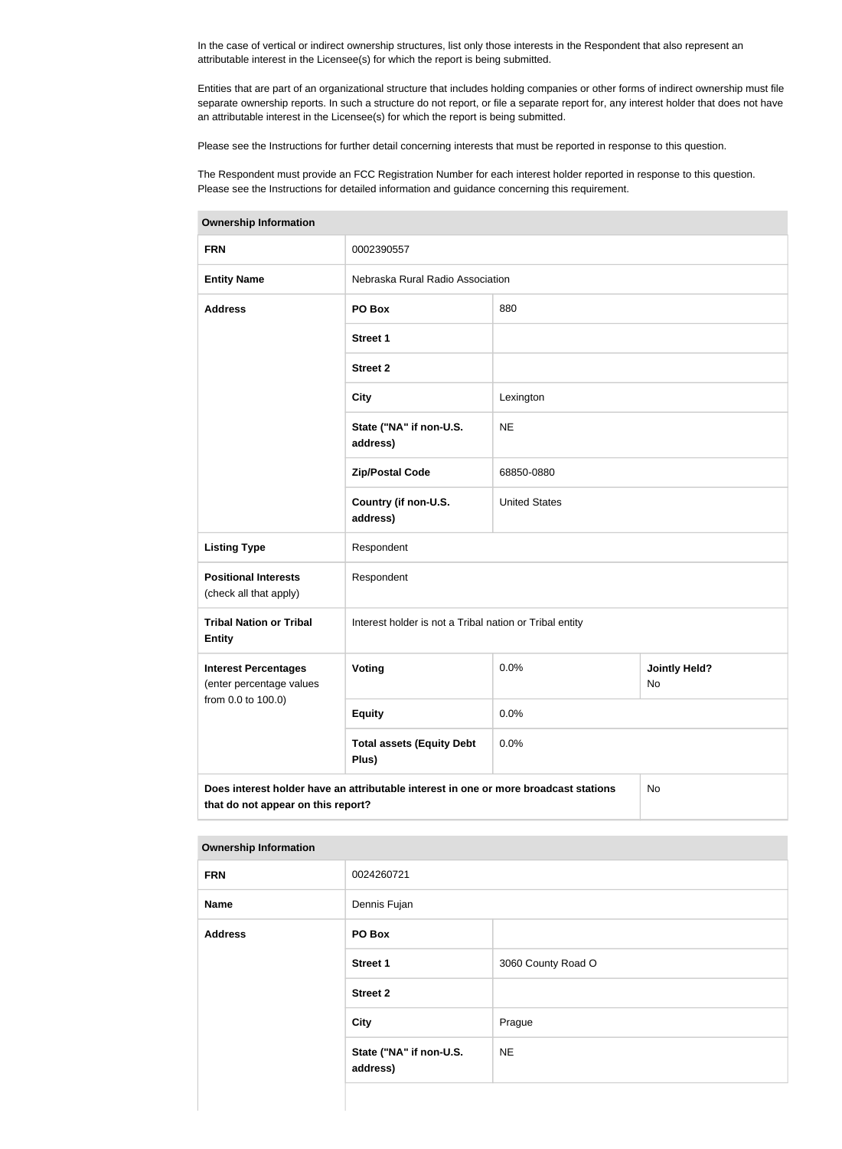In the case of vertical or indirect ownership structures, list only those interests in the Respondent that also represent an attributable interest in the Licensee(s) for which the report is being submitted.

Entities that are part of an organizational structure that includes holding companies or other forms of indirect ownership must file separate ownership reports. In such a structure do not report, or file a separate report for, any interest holder that does not have an attributable interest in the Licensee(s) for which the report is being submitted.

Please see the Instructions for further detail concerning interests that must be reported in response to this question.

The Respondent must provide an FCC Registration Number for each interest holder reported in response to this question. Please see the Instructions for detailed information and guidance concerning this requirement.

| <b>FRN</b>                                              | 0002390557                                                                           |                      |                            |
|---------------------------------------------------------|--------------------------------------------------------------------------------------|----------------------|----------------------------|
| <b>Entity Name</b>                                      | Nebraska Rural Radio Association                                                     |                      |                            |
| <b>Address</b>                                          | PO Box                                                                               | 880                  |                            |
|                                                         | <b>Street 1</b>                                                                      |                      |                            |
|                                                         | <b>Street 2</b>                                                                      |                      |                            |
|                                                         | <b>City</b>                                                                          | Lexington            |                            |
|                                                         | State ("NA" if non-U.S.<br>address)                                                  | <b>NE</b>            |                            |
|                                                         | <b>Zip/Postal Code</b>                                                               | 68850-0880           |                            |
|                                                         | Country (if non-U.S.<br>address)                                                     | <b>United States</b> |                            |
| <b>Listing Type</b>                                     | Respondent                                                                           |                      |                            |
| <b>Positional Interests</b><br>(check all that apply)   | Respondent                                                                           |                      |                            |
| <b>Tribal Nation or Tribal</b><br><b>Entity</b>         | Interest holder is not a Tribal nation or Tribal entity                              |                      |                            |
| <b>Interest Percentages</b><br>(enter percentage values | Voting                                                                               | 0.0%                 | <b>Jointly Held?</b><br>No |
| from 0.0 to 100.0)                                      | <b>Equity</b>                                                                        | 0.0%                 |                            |
|                                                         | <b>Total assets (Equity Debt</b><br>Plus)                                            | 0.0%                 |                            |
| that do not appear on this report?                      | Does interest holder have an attributable interest in one or more broadcast stations |                      | No                         |

| <b>Ownership Information</b> |                                     |                    |
|------------------------------|-------------------------------------|--------------------|
| <b>FRN</b>                   | 0024260721                          |                    |
| <b>Name</b>                  | Dennis Fujan                        |                    |
| <b>Address</b>               | PO Box                              |                    |
|                              | <b>Street 1</b>                     | 3060 County Road O |
|                              | <b>Street 2</b>                     |                    |
|                              | <b>City</b>                         | Prague             |
|                              | State ("NA" if non-U.S.<br>address) | <b>NE</b>          |
|                              |                                     |                    |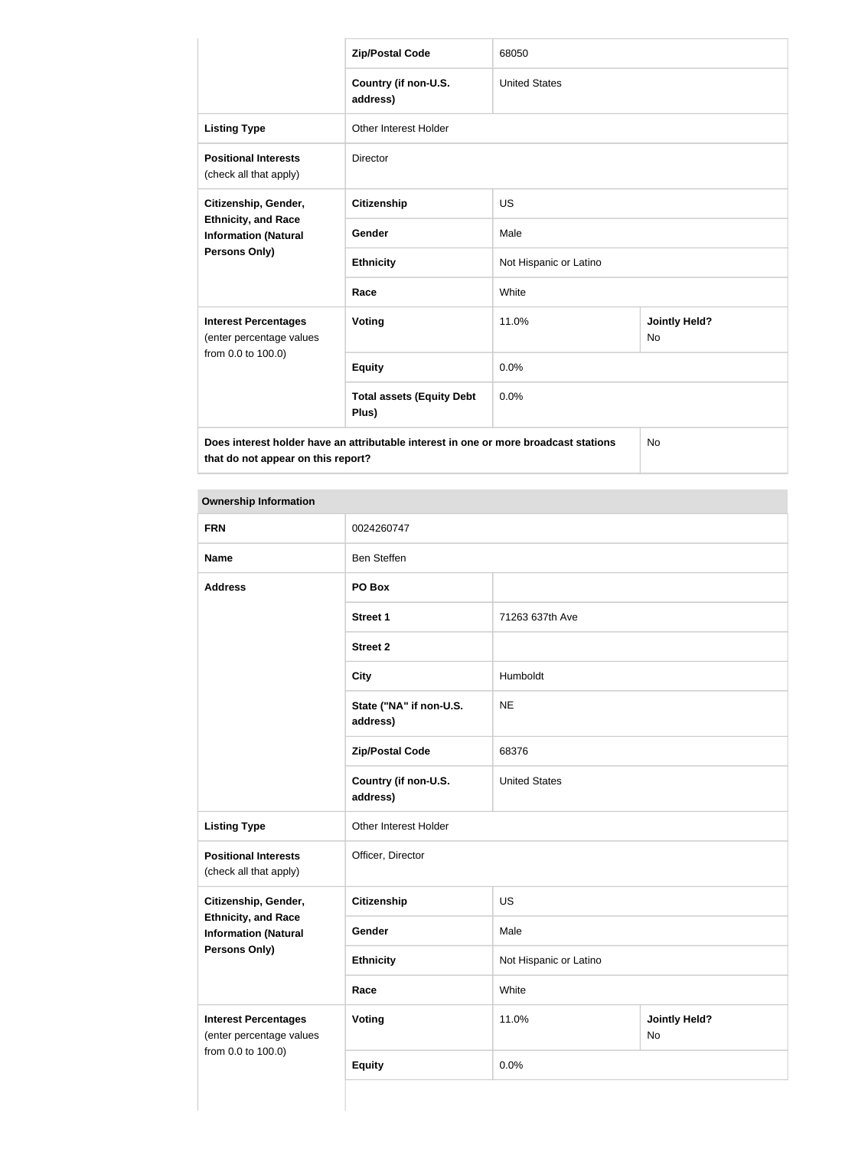|                                                                                   | <b>Zip/Postal Code</b>                                                               | 68050                  |                            |  |
|-----------------------------------------------------------------------------------|--------------------------------------------------------------------------------------|------------------------|----------------------------|--|
|                                                                                   | Country (if non-U.S.<br>address)                                                     | <b>United States</b>   |                            |  |
| <b>Listing Type</b>                                                               | <b>Other Interest Holder</b>                                                         |                        |                            |  |
| <b>Positional Interests</b><br>(check all that apply)                             | <b>Director</b>                                                                      |                        |                            |  |
| Citizenship, Gender,<br><b>Ethnicity, and Race</b><br><b>Information (Natural</b> | <b>Citizenship</b>                                                                   | <b>US</b>              |                            |  |
|                                                                                   | Gender                                                                               | Male                   |                            |  |
| Persons Only)                                                                     | <b>Ethnicity</b>                                                                     | Not Hispanic or Latino |                            |  |
|                                                                                   | White<br>Race                                                                        |                        |                            |  |
| <b>Interest Percentages</b><br>(enter percentage values                           | Voting                                                                               | 11.0%                  | <b>Jointly Held?</b><br>No |  |
| from 0.0 to 100.0)                                                                | <b>Equity</b>                                                                        | 0.0%                   |                            |  |
|                                                                                   | <b>Total assets (Equity Debt</b><br>Plus)                                            | 0.0%                   |                            |  |
| that do not appear on this report?                                                | Does interest holder have an attributable interest in one or more broadcast stations |                        | <b>No</b>                  |  |

| owneromp moninanom                                        |                                     |                        |                            |
|-----------------------------------------------------------|-------------------------------------|------------------------|----------------------------|
| <b>FRN</b>                                                | 0024260747                          |                        |                            |
| <b>Name</b>                                               | <b>Ben Steffen</b>                  |                        |                            |
| <b>Address</b>                                            | PO Box                              |                        |                            |
|                                                           | <b>Street 1</b>                     | 71263 637th Ave        |                            |
|                                                           | <b>Street 2</b>                     |                        |                            |
|                                                           | <b>City</b>                         | Humboldt               |                            |
|                                                           | State ("NA" if non-U.S.<br>address) | <b>NE</b>              |                            |
|                                                           | <b>Zip/Postal Code</b>              | 68376                  |                            |
|                                                           | Country (if non-U.S.<br>address)    | <b>United States</b>   |                            |
| <b>Listing Type</b>                                       | Other Interest Holder               |                        |                            |
| <b>Positional Interests</b><br>(check all that apply)     | Officer, Director                   |                        |                            |
| Citizenship, Gender,                                      | Citizenship                         | <b>US</b>              |                            |
| <b>Ethnicity, and Race</b><br><b>Information (Natural</b> | Gender                              | Male                   |                            |
| <b>Persons Only)</b>                                      | <b>Ethnicity</b>                    | Not Hispanic or Latino |                            |
|                                                           | Race                                | White                  |                            |
| <b>Interest Percentages</b><br>(enter percentage values   | <b>Voting</b>                       | 11.0%                  | <b>Jointly Held?</b><br>No |
| from 0.0 to 100.0)                                        | <b>Equity</b>                       | 0.0%                   |                            |
|                                                           |                                     |                        |                            |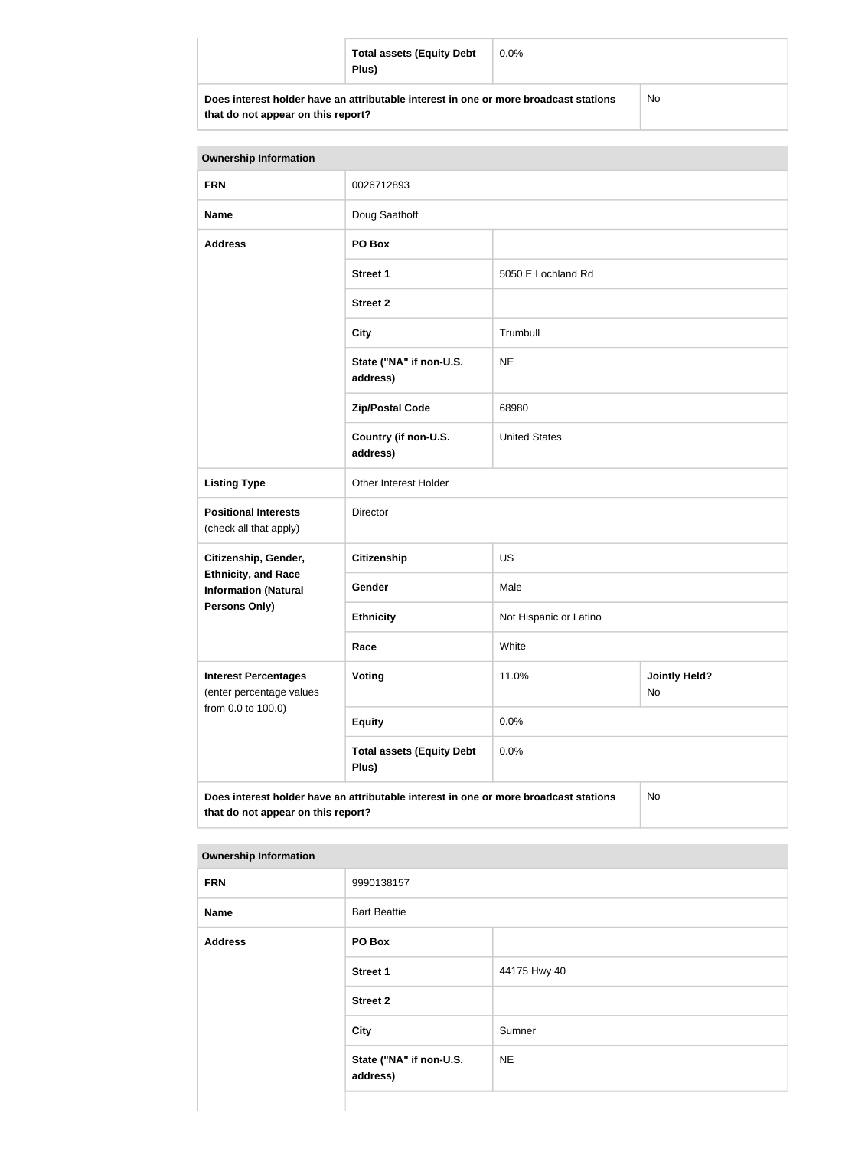|                                                                                      | <b>Total assets (Equity Debt</b><br>Plus) | $0.0\%$ |     |  |
|--------------------------------------------------------------------------------------|-------------------------------------------|---------|-----|--|
| Does interest holder have an attributable interest in one or more broadcast stations |                                           |         | No. |  |

| that do not appear on this report? |  |  |  |  |  |  |
|------------------------------------|--|--|--|--|--|--|
|------------------------------------|--|--|--|--|--|--|

| <b>Ownership Information</b>                                                                                                            |                                           |                        |                            |  |
|-----------------------------------------------------------------------------------------------------------------------------------------|-------------------------------------------|------------------------|----------------------------|--|
| <b>FRN</b>                                                                                                                              | 0026712893                                |                        |                            |  |
| <b>Name</b>                                                                                                                             | Doug Saathoff                             |                        |                            |  |
| <b>Address</b>                                                                                                                          | PO Box                                    |                        |                            |  |
|                                                                                                                                         | <b>Street 1</b>                           | 5050 E Lochland Rd     |                            |  |
|                                                                                                                                         | <b>Street 2</b>                           |                        |                            |  |
|                                                                                                                                         | <b>City</b>                               | Trumbull               |                            |  |
|                                                                                                                                         | State ("NA" if non-U.S.<br>address)       | <b>NE</b>              |                            |  |
|                                                                                                                                         | <b>Zip/Postal Code</b>                    | 68980                  |                            |  |
|                                                                                                                                         | Country (if non-U.S.<br>address)          | <b>United States</b>   |                            |  |
| <b>Listing Type</b>                                                                                                                     | Other Interest Holder                     |                        |                            |  |
| <b>Positional Interests</b><br>(check all that apply)                                                                                   | Director                                  |                        |                            |  |
| Citizenship, Gender,                                                                                                                    | <b>Citizenship</b>                        | US                     |                            |  |
| <b>Ethnicity, and Race</b><br><b>Information (Natural</b>                                                                               | Gender                                    | Male                   |                            |  |
| <b>Persons Only)</b>                                                                                                                    | <b>Ethnicity</b>                          | Not Hispanic or Latino |                            |  |
|                                                                                                                                         | Race                                      | White                  |                            |  |
| <b>Interest Percentages</b><br>(enter percentage values                                                                                 | Voting                                    | 11.0%                  | <b>Jointly Held?</b><br>No |  |
| from 0.0 to 100.0)                                                                                                                      | <b>Equity</b>                             | 0.0%                   |                            |  |
|                                                                                                                                         | <b>Total assets (Equity Debt</b><br>Plus) | 0.0%                   |                            |  |
| Does interest holder have an attributable interest in one or more broadcast stations<br><b>No</b><br>that do not appear on this report? |                                           |                        |                            |  |

| <b>FRN</b>     | 9990138157                          |              |
|----------------|-------------------------------------|--------------|
| <b>Name</b>    | <b>Bart Beattie</b>                 |              |
| <b>Address</b> | PO Box                              |              |
|                | Street 1                            | 44175 Hwy 40 |
|                | <b>Street 2</b>                     |              |
|                | <b>City</b>                         | Sumner       |
|                | State ("NA" if non-U.S.<br>address) | <b>NE</b>    |
|                |                                     |              |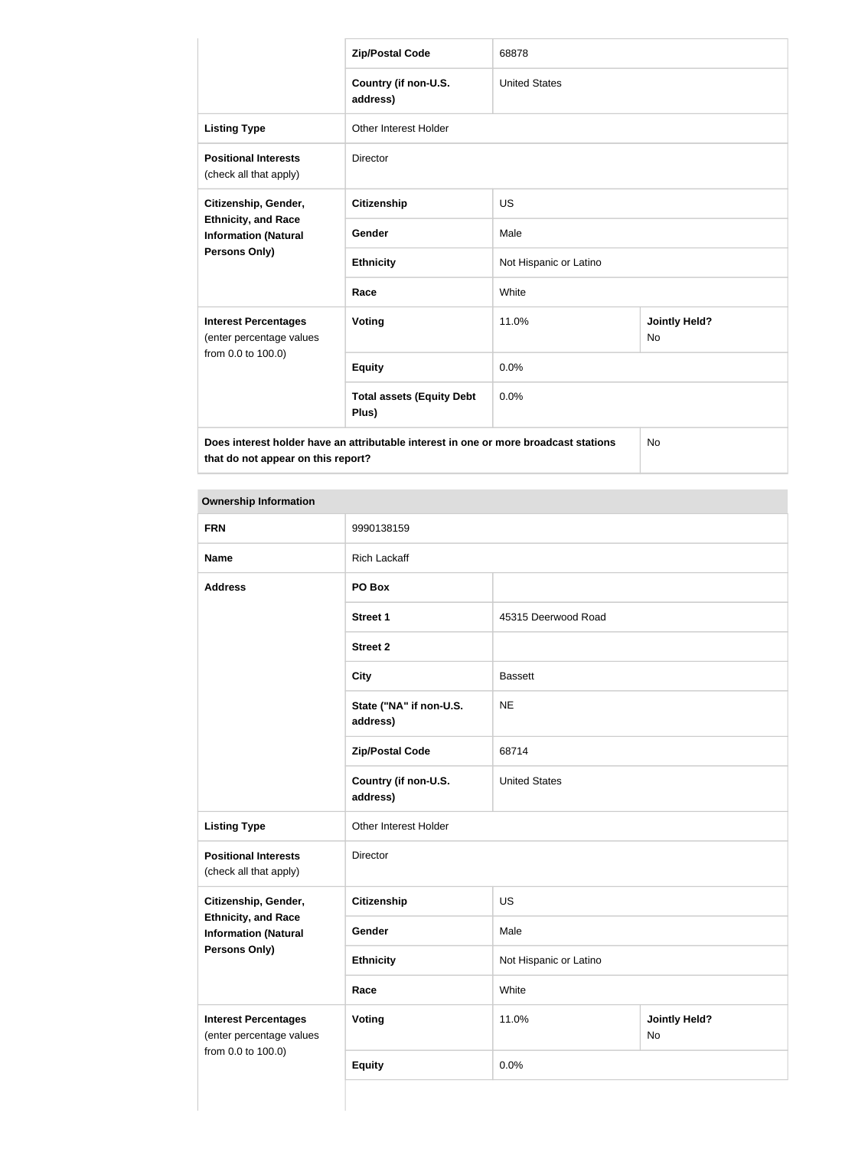|                                                                                   | <b>Zip/Postal Code</b>                                                               | 68878                  |                            |  |
|-----------------------------------------------------------------------------------|--------------------------------------------------------------------------------------|------------------------|----------------------------|--|
|                                                                                   | Country (if non-U.S.<br>address)                                                     | <b>United States</b>   |                            |  |
| <b>Listing Type</b>                                                               | <b>Other Interest Holder</b>                                                         |                        |                            |  |
| <b>Positional Interests</b><br>(check all that apply)                             | <b>Director</b>                                                                      |                        |                            |  |
| Citizenship, Gender,<br><b>Ethnicity, and Race</b><br><b>Information (Natural</b> | <b>Citizenship</b>                                                                   | <b>US</b>              |                            |  |
|                                                                                   | Gender                                                                               | Male                   |                            |  |
| Persons Only)                                                                     | <b>Ethnicity</b>                                                                     | Not Hispanic or Latino |                            |  |
|                                                                                   | White<br>Race                                                                        |                        |                            |  |
| <b>Interest Percentages</b><br>(enter percentage values                           | <b>Voting</b>                                                                        | 11.0%                  | <b>Jointly Held?</b><br>No |  |
| from 0.0 to 100.0)                                                                | <b>Equity</b>                                                                        | 0.0%                   |                            |  |
|                                                                                   | <b>Total assets (Equity Debt</b><br>Plus)                                            | 0.0%                   |                            |  |
| that do not appear on this report?                                                | Does interest holder have an attributable interest in one or more broadcast stations |                        | <b>No</b>                  |  |

 $\mathbb{R}^2$ 

| <b>Ownership Information</b>                              |                                     |                        |                            |  |
|-----------------------------------------------------------|-------------------------------------|------------------------|----------------------------|--|
| <b>FRN</b>                                                | 9990138159                          |                        |                            |  |
| <b>Name</b>                                               | <b>Rich Lackaff</b>                 |                        |                            |  |
| <b>Address</b>                                            | PO Box                              |                        |                            |  |
|                                                           | <b>Street 1</b>                     | 45315 Deerwood Road    |                            |  |
|                                                           | <b>Street 2</b>                     |                        |                            |  |
|                                                           | <b>City</b>                         | <b>Bassett</b>         |                            |  |
|                                                           | State ("NA" if non-U.S.<br>address) | <b>NE</b>              |                            |  |
|                                                           | <b>Zip/Postal Code</b>              | 68714                  |                            |  |
|                                                           | Country (if non-U.S.<br>address)    | <b>United States</b>   |                            |  |
| <b>Listing Type</b>                                       | Other Interest Holder               |                        |                            |  |
| <b>Positional Interests</b><br>(check all that apply)     | Director                            |                        |                            |  |
| Citizenship, Gender,                                      | <b>Citizenship</b>                  | <b>US</b>              |                            |  |
| <b>Ethnicity, and Race</b><br><b>Information (Natural</b> | Gender                              | Male                   |                            |  |
| <b>Persons Only)</b>                                      | <b>Ethnicity</b>                    | Not Hispanic or Latino |                            |  |
|                                                           | Race                                | White                  |                            |  |
| <b>Interest Percentages</b><br>(enter percentage values   | <b>Voting</b>                       | 11.0%                  | <b>Jointly Held?</b><br>No |  |
| from 0.0 to 100.0)                                        | <b>Equity</b>                       | 0.0%                   |                            |  |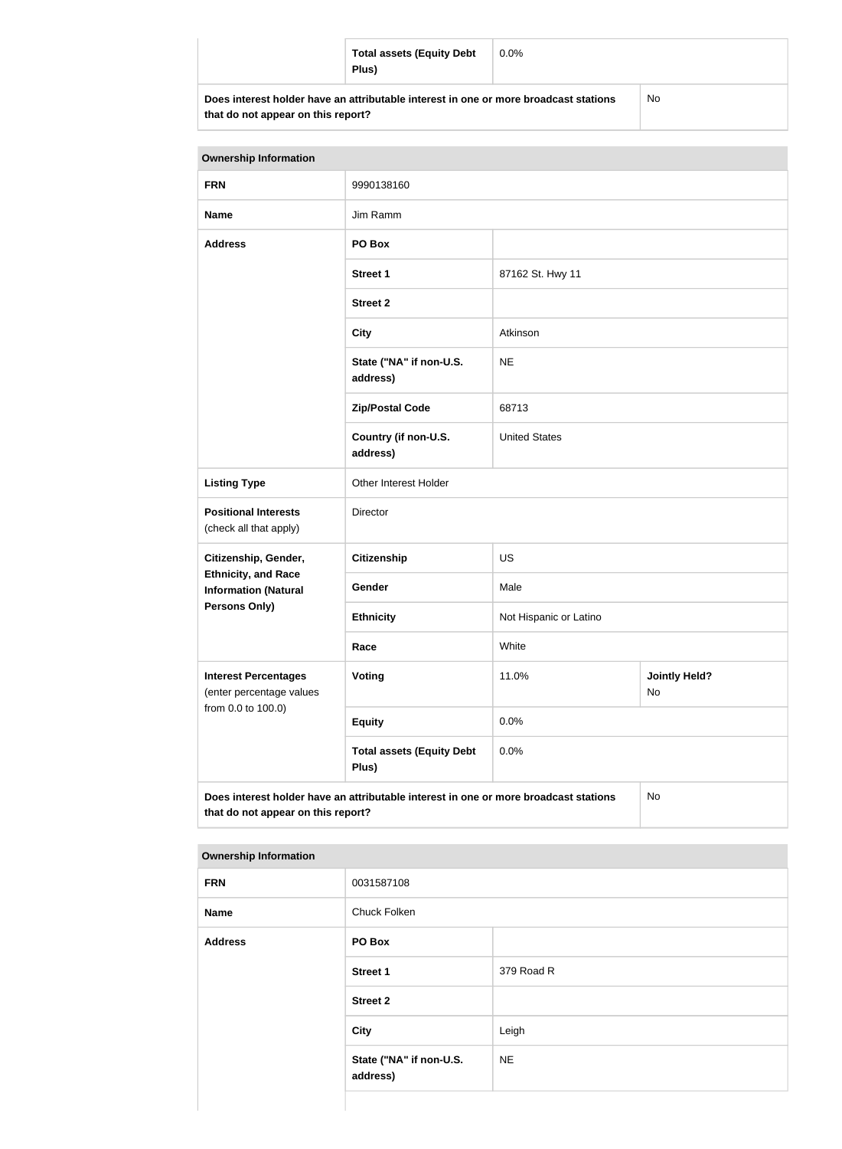|                                                                                      | <b>Total assets (Equity Debt</b><br>Plus) | $0.0\%$ |     |
|--------------------------------------------------------------------------------------|-------------------------------------------|---------|-----|
| Does interest holder have an attributable interest in one or more broadcast stations |                                           |         | No. |

| <b>Ownership Information</b>                              |                                                                                      |                        |                            |
|-----------------------------------------------------------|--------------------------------------------------------------------------------------|------------------------|----------------------------|
| <b>FRN</b>                                                | 9990138160                                                                           |                        |                            |
| <b>Name</b>                                               | Jim Ramm                                                                             |                        |                            |
| <b>Address</b>                                            | PO Box                                                                               |                        |                            |
|                                                           | <b>Street 1</b>                                                                      | 87162 St. Hwy 11       |                            |
|                                                           | <b>Street 2</b>                                                                      |                        |                            |
|                                                           | <b>City</b>                                                                          | Atkinson               |                            |
|                                                           | State ("NA" if non-U.S.<br>address)                                                  | <b>NE</b>              |                            |
|                                                           | <b>Zip/Postal Code</b>                                                               | 68713                  |                            |
|                                                           | Country (if non-U.S.<br>address)                                                     | <b>United States</b>   |                            |
| <b>Listing Type</b>                                       | Other Interest Holder                                                                |                        |                            |
| <b>Positional Interests</b><br>(check all that apply)     | Director                                                                             |                        |                            |
| Citizenship, Gender,                                      | <b>Citizenship</b>                                                                   | US                     |                            |
| <b>Ethnicity, and Race</b><br><b>Information (Natural</b> | Gender                                                                               | Male                   |                            |
| Persons Only)                                             | <b>Ethnicity</b>                                                                     | Not Hispanic or Latino |                            |
|                                                           | Race                                                                                 | White                  |                            |
| <b>Interest Percentages</b><br>(enter percentage values   | <b>Voting</b>                                                                        | 11.0%                  | <b>Jointly Held?</b><br>No |
| from 0.0 to 100.0)                                        | <b>Equity</b>                                                                        | 0.0%                   |                            |
|                                                           | <b>Total assets (Equity Debt</b><br>Plus)                                            | 0.0%                   |                            |
|                                                           | Does interest holder have an attributable interest in one or more broadcast stations |                        | No                         |

**Does interest holder have an attributable interest in one or more broadcast stations that do not appear on this report?**

| <b>Ownership Information</b> |                                     |            |  |
|------------------------------|-------------------------------------|------------|--|
| <b>FRN</b>                   | 0031587108                          |            |  |
| <b>Name</b>                  | Chuck Folken                        |            |  |
| <b>Address</b>               | PO Box                              |            |  |
|                              | <b>Street 1</b>                     | 379 Road R |  |
|                              | <b>Street 2</b>                     |            |  |
|                              | <b>City</b>                         | Leigh      |  |
|                              | State ("NA" if non-U.S.<br>address) | <b>NE</b>  |  |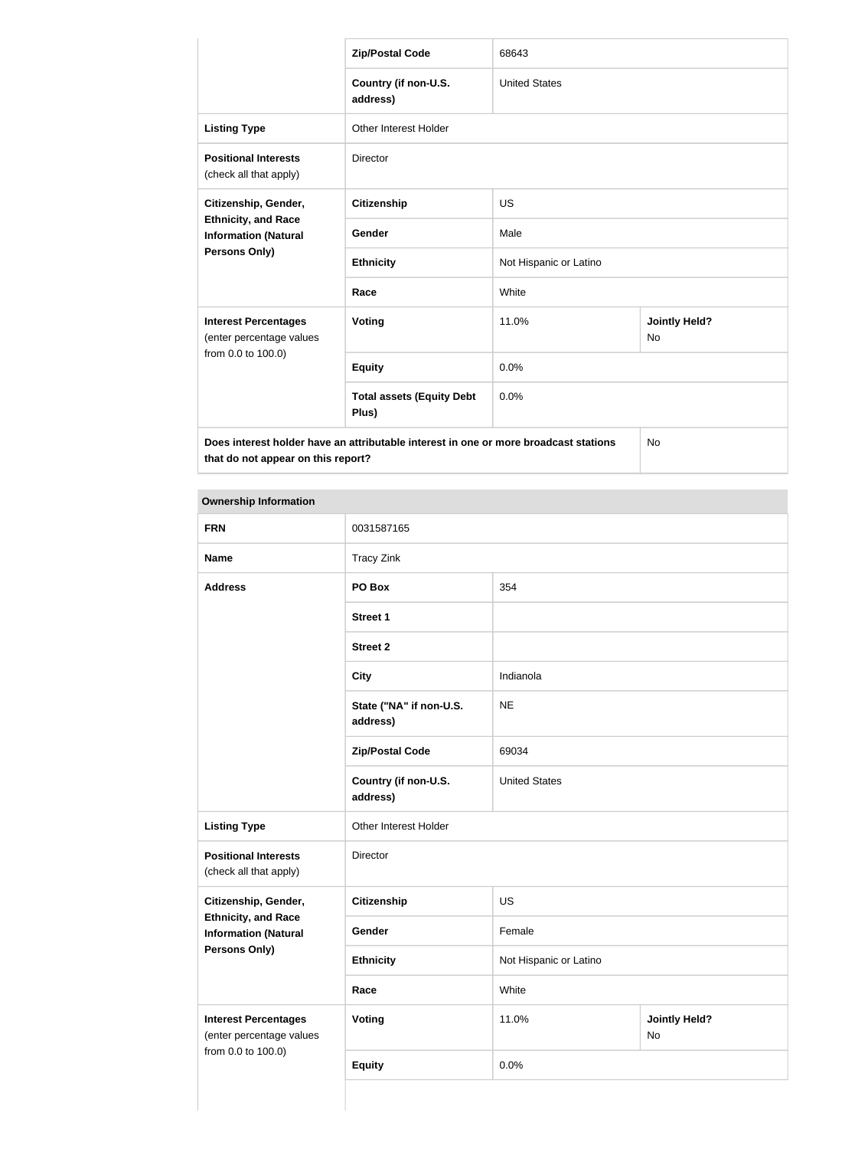|                                                                                   | <b>Zip/Postal Code</b>                                                               | 68643                  |                                   |  |
|-----------------------------------------------------------------------------------|--------------------------------------------------------------------------------------|------------------------|-----------------------------------|--|
|                                                                                   | Country (if non-U.S.<br>address)                                                     | <b>United States</b>   |                                   |  |
| <b>Listing Type</b>                                                               | <b>Other Interest Holder</b>                                                         |                        |                                   |  |
| <b>Positional Interests</b><br>(check all that apply)                             | <b>Director</b>                                                                      |                        |                                   |  |
| Citizenship, Gender,<br><b>Ethnicity, and Race</b><br><b>Information (Natural</b> | <b>Citizenship</b>                                                                   | <b>US</b>              |                                   |  |
|                                                                                   | Gender                                                                               | Male                   |                                   |  |
| Persons Only)                                                                     | <b>Ethnicity</b>                                                                     | Not Hispanic or Latino |                                   |  |
|                                                                                   | Race                                                                                 | White                  |                                   |  |
| <b>Interest Percentages</b><br>(enter percentage values                           | Voting                                                                               | 11.0%                  | <b>Jointly Held?</b><br><b>No</b> |  |
| from 0.0 to 100.0)                                                                | <b>Equity</b>                                                                        | 0.0%                   |                                   |  |
|                                                                                   | <b>Total assets (Equity Debt</b><br>Plus)                                            | 0.0%                   |                                   |  |
| that do not appear on this report?                                                | Does interest holder have an attributable interest in one or more broadcast stations |                        | <b>No</b>                         |  |

| <b>FRN</b>                                                                    | 0031587165                          |                      |                            |  |
|-------------------------------------------------------------------------------|-------------------------------------|----------------------|----------------------------|--|
| <b>Name</b>                                                                   | <b>Tracy Zink</b>                   |                      |                            |  |
| <b>Address</b>                                                                | PO Box                              | 354                  |                            |  |
|                                                                               | <b>Street 1</b>                     |                      |                            |  |
|                                                                               | <b>Street 2</b>                     |                      |                            |  |
|                                                                               | <b>City</b>                         | Indianola            |                            |  |
|                                                                               | State ("NA" if non-U.S.<br>address) | <b>NE</b>            |                            |  |
|                                                                               | <b>Zip/Postal Code</b>              | 69034                |                            |  |
|                                                                               | Country (if non-U.S.<br>address)    | <b>United States</b> |                            |  |
| <b>Listing Type</b>                                                           | Other Interest Holder               |                      |                            |  |
| <b>Positional Interests</b><br>(check all that apply)                         | Director                            |                      |                            |  |
| Citizenship, Gender,                                                          | <b>Citizenship</b>                  | US                   |                            |  |
| <b>Ethnicity, and Race</b><br><b>Information (Natural</b>                     | Gender                              | Female               |                            |  |
| <b>Persons Only)</b>                                                          | <b>Ethnicity</b>                    |                      | Not Hispanic or Latino     |  |
|                                                                               | Race                                | White                |                            |  |
| <b>Interest Percentages</b><br>(enter percentage values<br>from 0.0 to 100.0) | <b>Voting</b>                       | 11.0%                | <b>Jointly Held?</b><br>No |  |
|                                                                               | <b>Equity</b>                       | 0.0%                 |                            |  |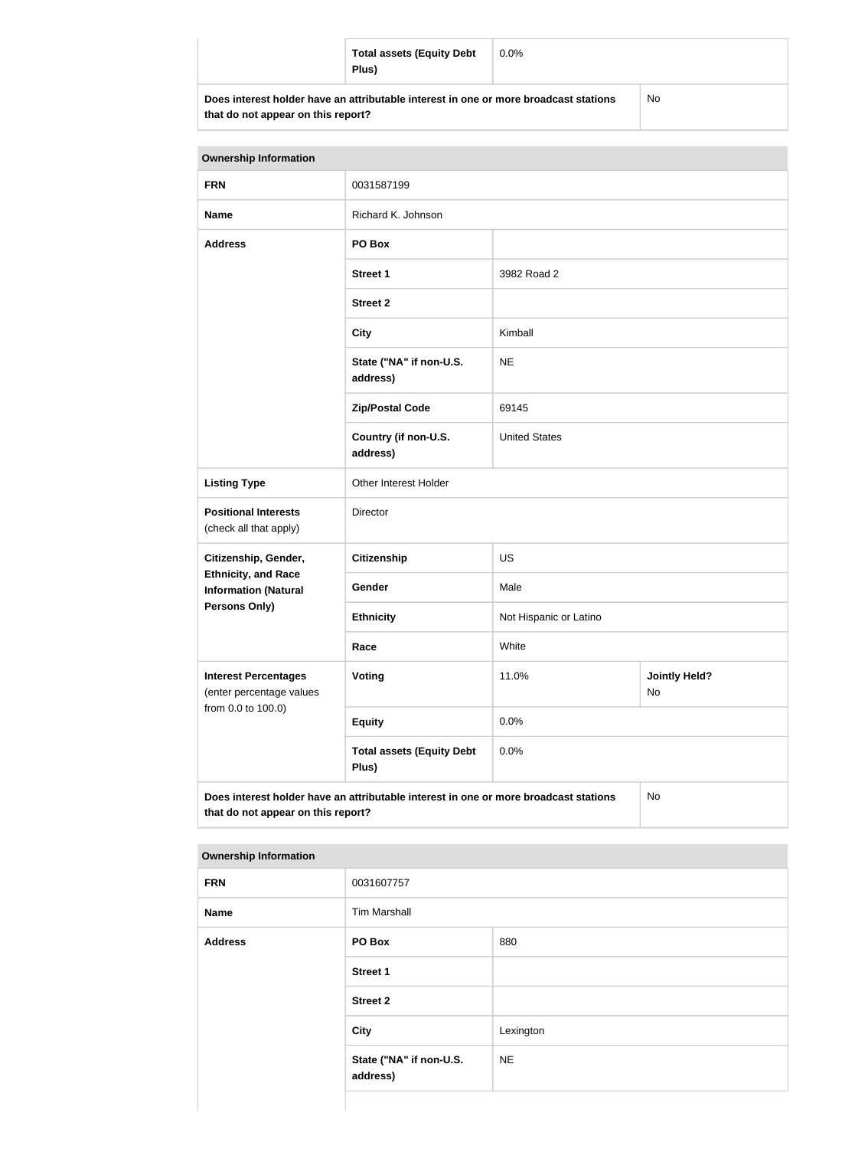|                                                                                      | <b>Total assets (Equity Debt</b><br>Plus) | $0.0\%$ |           |
|--------------------------------------------------------------------------------------|-------------------------------------------|---------|-----------|
| Does interest holder have an attributable interest in one or more broadcast stations |                                           |         | <b>No</b> |

**that do not appear on this report?**

NC)

| <b>Ownership Information</b>                              |                                                                                      |                        |                            |  |
|-----------------------------------------------------------|--------------------------------------------------------------------------------------|------------------------|----------------------------|--|
| <b>FRN</b>                                                | 0031587199                                                                           |                        |                            |  |
| <b>Name</b>                                               | Richard K. Johnson                                                                   |                        |                            |  |
| <b>Address</b>                                            | PO Box                                                                               |                        |                            |  |
|                                                           | <b>Street 1</b>                                                                      | 3982 Road 2            |                            |  |
|                                                           | <b>Street 2</b>                                                                      |                        |                            |  |
|                                                           | <b>City</b>                                                                          | Kimball                |                            |  |
|                                                           | State ("NA" if non-U.S.<br>address)                                                  | <b>NE</b>              |                            |  |
|                                                           | <b>Zip/Postal Code</b>                                                               | 69145                  |                            |  |
|                                                           | Country (if non-U.S.<br>address)                                                     | <b>United States</b>   |                            |  |
| <b>Listing Type</b>                                       | Other Interest Holder                                                                |                        |                            |  |
| <b>Positional Interests</b><br>(check all that apply)     | Director                                                                             |                        |                            |  |
| Citizenship, Gender,                                      | <b>Citizenship</b>                                                                   | <b>US</b>              |                            |  |
| <b>Ethnicity, and Race</b><br><b>Information (Natural</b> | <b>Gender</b>                                                                        | Male                   |                            |  |
| <b>Persons Only)</b>                                      | <b>Ethnicity</b>                                                                     | Not Hispanic or Latino |                            |  |
|                                                           | Race                                                                                 | White                  |                            |  |
| <b>Interest Percentages</b><br>(enter percentage values   | <b>Voting</b>                                                                        | 11.0%                  | <b>Jointly Held?</b><br>No |  |
| from 0.0 to 100.0)                                        | <b>Equity</b>                                                                        | 0.0%                   |                            |  |
|                                                           | <b>Total assets (Equity Debt</b><br>Plus)                                            | 0.0%                   |                            |  |
| that do not appear on this report?                        | Does interest holder have an attributable interest in one or more broadcast stations |                        | No                         |  |

| --             |                                     |           |
|----------------|-------------------------------------|-----------|
| <b>FRN</b>     | 0031607757                          |           |
| <b>Name</b>    | <b>Tim Marshall</b>                 |           |
| <b>Address</b> | PO Box                              | 880       |
|                | Street 1                            |           |
|                | <b>Street 2</b>                     |           |
|                | <b>City</b>                         | Lexington |
|                | State ("NA" if non-U.S.<br>address) | <b>NE</b> |
|                |                                     |           |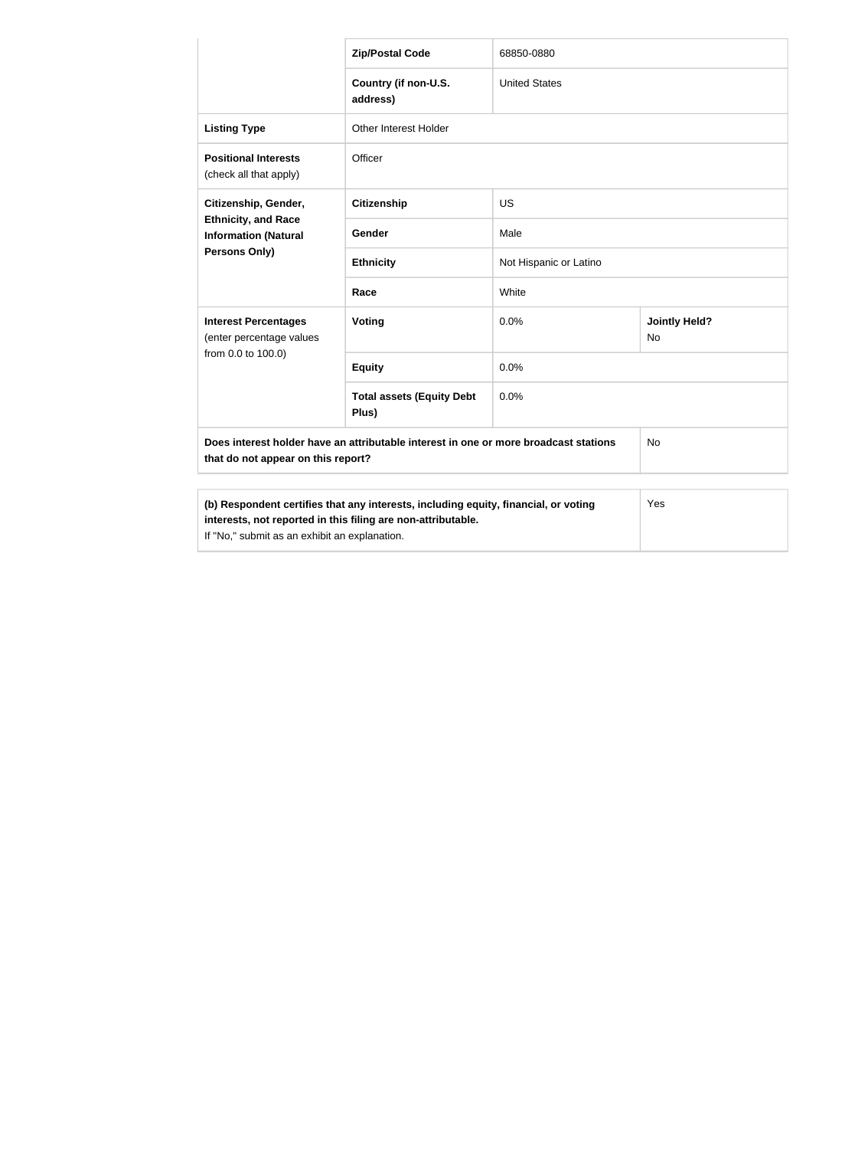|                                                                                                                                                     | <b>Zip/Postal Code</b>                    | 68850-0880             |                            |
|-----------------------------------------------------------------------------------------------------------------------------------------------------|-------------------------------------------|------------------------|----------------------------|
|                                                                                                                                                     | Country (if non-U.S.<br>address)          | <b>United States</b>   |                            |
| <b>Listing Type</b>                                                                                                                                 | Other Interest Holder                     |                        |                            |
| <b>Positional Interests</b><br>(check all that apply)                                                                                               | Officer                                   |                        |                            |
| Citizenship, Gender,<br><b>Ethnicity, and Race</b><br><b>Information (Natural</b><br><b>Persons Only)</b>                                           | <b>Citizenship</b>                        | <b>US</b>              |                            |
|                                                                                                                                                     | Gender                                    | Male                   |                            |
|                                                                                                                                                     | <b>Ethnicity</b>                          | Not Hispanic or Latino |                            |
|                                                                                                                                                     | Race                                      | White                  |                            |
| <b>Interest Percentages</b><br>(enter percentage values                                                                                             | Voting                                    | 0.0%                   | <b>Jointly Held?</b><br>No |
| from 0.0 to 100.0)                                                                                                                                  | <b>Equity</b>                             | 0.0%                   |                            |
|                                                                                                                                                     | <b>Total assets (Equity Debt</b><br>Plus) | 0.0%                   |                            |
| Does interest holder have an attributable interest in one or more broadcast stations<br><b>No</b><br>that do not appear on this report?             |                                           |                        |                            |
| (b) Respondent certifies that any interests, including equity, financial, or voting<br>interests, not reported in this filing are non-attributable. |                                           |                        | Yes                        |

If "No," submit as an exhibit an explanation.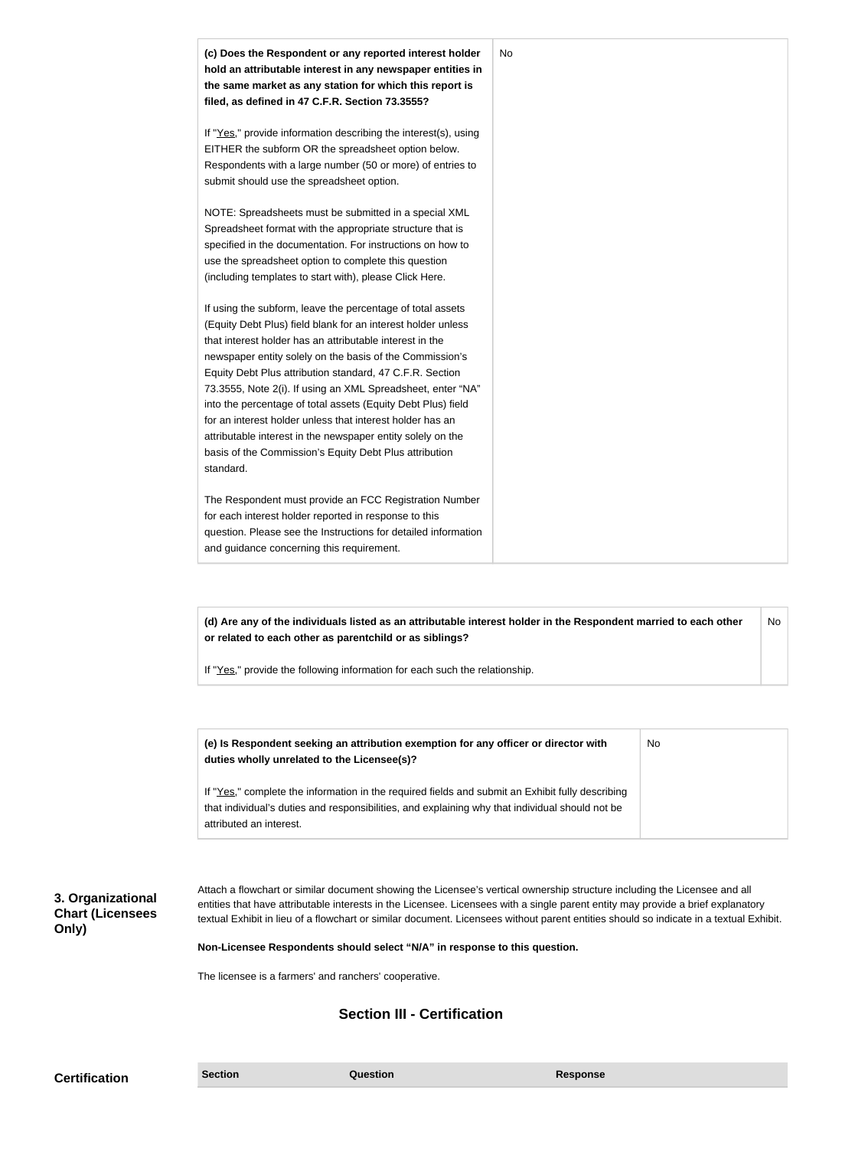| (c) Does the Respondent or any reported interest holder<br>hold an attributable interest in any newspaper entities in<br>the same market as any station for which this report is<br>filed, as defined in 47 C.F.R. Section 73.3555?                                                                                                                                                                                                                                                                                                                                                                                                              | No |
|--------------------------------------------------------------------------------------------------------------------------------------------------------------------------------------------------------------------------------------------------------------------------------------------------------------------------------------------------------------------------------------------------------------------------------------------------------------------------------------------------------------------------------------------------------------------------------------------------------------------------------------------------|----|
| If "Yes," provide information describing the interest(s), using<br>EITHER the subform OR the spreadsheet option below.<br>Respondents with a large number (50 or more) of entries to<br>submit should use the spreadsheet option.                                                                                                                                                                                                                                                                                                                                                                                                                |    |
| NOTE: Spreadsheets must be submitted in a special XML<br>Spreadsheet format with the appropriate structure that is<br>specified in the documentation. For instructions on how to<br>use the spreadsheet option to complete this question<br>(including templates to start with), please Click Here.                                                                                                                                                                                                                                                                                                                                              |    |
| If using the subform, leave the percentage of total assets<br>(Equity Debt Plus) field blank for an interest holder unless<br>that interest holder has an attributable interest in the<br>newspaper entity solely on the basis of the Commission's<br>Equity Debt Plus attribution standard, 47 C.F.R. Section<br>73.3555, Note 2(i). If using an XML Spreadsheet, enter "NA"<br>into the percentage of total assets (Equity Debt Plus) field<br>for an interest holder unless that interest holder has an<br>attributable interest in the newspaper entity solely on the<br>basis of the Commission's Equity Debt Plus attribution<br>standard. |    |
| The Respondent must provide an FCC Registration Number<br>for each interest holder reported in response to this<br>question. Please see the Instructions for detailed information<br>and guidance concerning this requirement.                                                                                                                                                                                                                                                                                                                                                                                                                   |    |

**(d) Are any of the individuals listed as an attributable interest holder in the Respondent married to each other or related to each other as parentchild or as siblings?** No

If "Yes," provide the following information for each such the relationship.

| (e) Is Respondent seeking an attribution exemption for any officer or director with<br>duties wholly unrelated to the Licensee(s)?                                                                                             | No |
|--------------------------------------------------------------------------------------------------------------------------------------------------------------------------------------------------------------------------------|----|
| If "Yes," complete the information in the required fields and submit an Exhibit fully describing<br>that individual's duties and responsibilities, and explaining why that individual should not be<br>attributed an interest. |    |

**3. Organizational Chart (Licensees Only)**

Attach a flowchart or similar document showing the Licensee's vertical ownership structure including the Licensee and all entities that have attributable interests in the Licensee. Licensees with a single parent entity may provide a brief explanatory textual Exhibit in lieu of a flowchart or similar document. Licensees without parent entities should so indicate in a textual Exhibit.

#### **Non-Licensee Respondents should select "N/A" in response to this question.**

The licensee is a farmers' and ranchers' cooperative.

# **Section III - Certification**